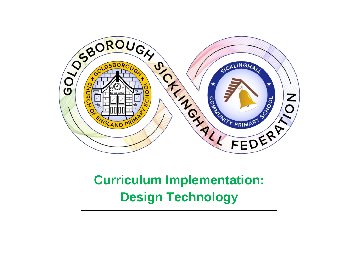

## **Curriculum Implementation: Design Technology**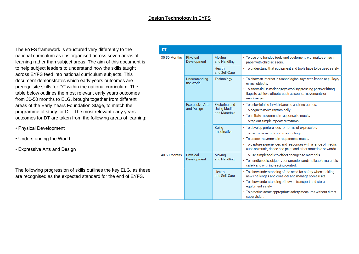## **Design Technology in EYFS**

The EYFS framework is structured very differently to the national curriculum as it is organised across seven areas of learning rather than subject areas. The aim of this document is to help subject leaders to understand how the skills taught across EYFS feed into national curriculum subjects. This document demonstrates which early years outcomes are prerequisite skills for DT within the national curriculum. The table below outlines the most relevant early years outcomes from 30-50 months to ELG, brought together from different areas of the Early Years Foundation Stage, to match the programme of study for DT. The most relevant early years outcomes for DT are taken from the following areas of learning:

- Physical Development
- Understanding the World
- Expressive Arts and Design

The following progression of skills outlines the key ELG, as these are recognised as the expected standard for the end of EYFS.

| DT           |                                      |                                                             |                                                                                                                                                                                                                                                                                   |  |  |  |  |
|--------------|--------------------------------------|-------------------------------------------------------------|-----------------------------------------------------------------------------------------------------------------------------------------------------------------------------------------------------------------------------------------------------------------------------------|--|--|--|--|
| 30-50 Months | Physical<br>Development              | <b>Moving</b><br>and Handling                               | • To use one-handed tools and equipment, e.g. makes snips in<br>paper with child scissors.                                                                                                                                                                                        |  |  |  |  |
|              |                                      | Health<br>and Self-Care                                     | • To understand that equipment and tools have to be used safely.                                                                                                                                                                                                                  |  |  |  |  |
|              | Understanding<br>the World           | Technology                                                  | • To show an interest in technological toys with knobs or pulleys,<br>or real objects.                                                                                                                                                                                            |  |  |  |  |
|              |                                      |                                                             | · To show skill in making toys work by pressing parts or lifting<br>flaps to achieve effects, such as sound, movements or<br>new images.                                                                                                                                          |  |  |  |  |
|              | <b>Expressive Arts</b><br>and Design | <b>Exploring and</b><br><b>Using Media</b><br>and Materials | • To enjoy joining in with dancing and ring games.<br>• To begin to move rhythmically.<br>• To imitate movement in response to music.<br>• To tap out simple repeated rhythms.                                                                                                    |  |  |  |  |
|              |                                      | <b>Being</b><br>Imaginative                                 | • To develop preferences for forms of expression.<br>• To use movement to express feelings.<br>• To create movement in response to music.<br>• To capture experiences and responses with a range of media,<br>such as music, dance and paint and other materials or words.        |  |  |  |  |
| 40-60 Months | Physical<br>Development              | Moving<br>and Handling                                      | • To use simple tools to effect changes to materials.<br>• To handle tools, objects, construction and malleable materials<br>safely and with increasing control.                                                                                                                  |  |  |  |  |
|              |                                      | Health<br>and Self-Care                                     | • To show understanding of the need for safety when tackling<br>new challenges and consider and manage some risks.<br>• To show understanding of how to transport and store<br>equipment safely.<br>• To practise some appropriate safety measures without direct<br>supervision. |  |  |  |  |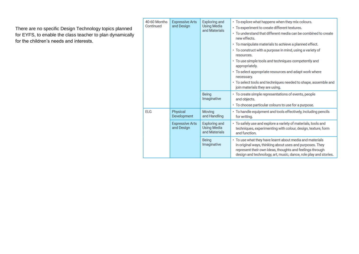There are no specific Design Technology topics planned for EYFS, to enable the class teacher to plan dynamically for the children's needs and interests.

|  | 40-60 Months<br>Continued | <b>Expressive Arts</b><br>and Design | <b>Exploring and</b><br><b>Using Media</b><br>and Materials | • To explore what happens when they mix colours.<br>· To experiment to create different textures.<br>• To understand that different media can be combined to create<br>new effects.<br>• To manipulate materials to achieve a planned effect.<br>• To construct with a purpose in mind, using a variety of<br>resources.<br>• To use simple tools and techniques competently and<br>appropriately.<br>• To select appropriate resources and adapt work where<br>necessary.<br>• To select tools and techniques needed to shape, assemble and<br>join materials they are using. |  |  |  |  |
|--|---------------------------|--------------------------------------|-------------------------------------------------------------|--------------------------------------------------------------------------------------------------------------------------------------------------------------------------------------------------------------------------------------------------------------------------------------------------------------------------------------------------------------------------------------------------------------------------------------------------------------------------------------------------------------------------------------------------------------------------------|--|--|--|--|
|  |                           |                                      | Being<br>Imaginative                                        | • To create simple representations of events, people<br>and objects.<br>• To choose particular colours to use for a purpose.                                                                                                                                                                                                                                                                                                                                                                                                                                                   |  |  |  |  |
|  | <b>ELG</b>                | Physical<br>Development              | Moving<br>and Handling                                      | • To handle equipment and tools effectively, including pencils<br>for writing.                                                                                                                                                                                                                                                                                                                                                                                                                                                                                                 |  |  |  |  |
|  |                           | <b>Expressive Arts</b><br>and Design | <b>Exploring and</b><br><b>Using Media</b><br>and Materials | • To safely use and explore a variety of materials, tools and<br>techniques, experimenting with colour, design, texture, form<br>and function.                                                                                                                                                                                                                                                                                                                                                                                                                                 |  |  |  |  |
|  |                           |                                      | Being<br>Imaginative                                        | • To use what they have learnt about media and materials<br>in original ways, thinking about uses and purposes. They<br>represent their own ideas, thoughts and feelings through<br>design and technology, art, music, dance, role play and stories.                                                                                                                                                                                                                                                                                                                           |  |  |  |  |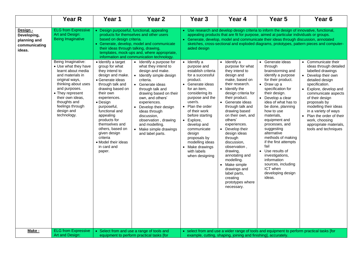| <b>ELG from Expressive</b><br>Design -<br>• Use research and develop design criteria to inform the design of innovative, functional,<br>• Design purposeful, functional, appealing<br>Art and Design:<br>products for themselves and other users<br>appealing products that are fit for purpose, aimed at particular individuals or groups.<br>Developing,<br><b>Being Imaginative</b><br>based on design criteria.<br>Generate, develop, model and communicate their ideas through discussion, annotated<br>planning and<br>• Generate, develop, model and communicate<br>communicating<br>their ideas through talking, drawing,<br>aided design<br>ideas.<br>templates, mock-ups and, where appropriate,<br>information and communication technology.<br>Being Imaginative:<br>Identify a<br>• Identify a target<br>• Identify a purpose for<br>$\bullet$ Identify a<br>• Generate ideas<br>$\bullet$<br>• Use what they have<br>group for what<br>what they intend to<br>purpose and<br>purpose for what<br>through<br>establish criteria<br>learnt about media<br>they intend to<br>design and make.<br>they intend to<br>brainstorming and<br>and materials in<br>design and make.<br>design and<br>identify a purpose<br>• Identify simple design<br>for a successful<br>make, based on<br>for their product.<br>original ways,<br>product.<br>detailed design<br>• Generate ideas<br>criteria.<br>thinking about uses<br>their research.<br>through talk and<br>• Generate ideas<br>• Generate ideas<br>$\bullet$ Draw up a<br>specification.<br>and purposes.<br>specification for<br>drawing based on<br>$\bullet$ Identify the<br>for an item,<br>through talk and<br>$\bullet$<br>• They represent<br>their own<br>considering its<br>their design.<br>design criteria for<br>drawing based on their<br>their own ideas,<br>purpose and the<br>their product.<br>experiences.<br>own, and others'<br>Develop a clear<br>of their design<br>thoughts and<br>user/s.<br>• Design<br>experiences.<br>• Generate ideas<br>idea of what has to<br>proposals by<br>feelings through<br>Plan the order<br>through talk and<br>purposeful,<br>be done, planning<br>Develop their design<br>design and<br>functional and<br>of their work<br>drawing based<br>how to use<br>ideas through<br>technology.<br>on their own, and<br>appealing<br>before starting<br>materials,<br>discussion,<br>$\bullet$<br>products for<br>others'<br>equipment and<br>observation, drawing<br>work, choosing<br>Explore,<br>$\bullet$<br>themselves and<br>experiences.<br>processes, and<br>appropriate materials,<br>and modelling.<br>develop and<br>others, based on<br>• Develop their<br>suggesting<br>• Make simple drawings<br>communicate<br>given design<br>alternative<br>design ideas<br>and label parts.<br>design<br>criteria<br>methods of making<br>proposals by<br>through<br>if the first attempts<br>• Model their ideas<br>modelling ideas<br>discussion,<br>fail<br>in card and<br>Make drawings<br>observation,<br>• Use results of<br>with labels<br>drawing,<br>paper.<br>annotating and<br>investigations,<br>when designing<br>modelling.<br>information<br>sources, including<br>• Make simple<br>ICT when<br>drawings and<br>developing design<br>label parts,<br>ideas.<br>creating<br>prototypes where<br>necessary. | <b>Year R</b> | Year 1 | Year <sub>2</sub>                                                                                                                                                                                                                                                                                               | Year 3 | Year 4 | Year 5 | Year <sub>6</sub>    |
|---------------------------------------------------------------------------------------------------------------------------------------------------------------------------------------------------------------------------------------------------------------------------------------------------------------------------------------------------------------------------------------------------------------------------------------------------------------------------------------------------------------------------------------------------------------------------------------------------------------------------------------------------------------------------------------------------------------------------------------------------------------------------------------------------------------------------------------------------------------------------------------------------------------------------------------------------------------------------------------------------------------------------------------------------------------------------------------------------------------------------------------------------------------------------------------------------------------------------------------------------------------------------------------------------------------------------------------------------------------------------------------------------------------------------------------------------------------------------------------------------------------------------------------------------------------------------------------------------------------------------------------------------------------------------------------------------------------------------------------------------------------------------------------------------------------------------------------------------------------------------------------------------------------------------------------------------------------------------------------------------------------------------------------------------------------------------------------------------------------------------------------------------------------------------------------------------------------------------------------------------------------------------------------------------------------------------------------------------------------------------------------------------------------------------------------------------------------------------------------------------------------------------------------------------------------------------------------------------------------------------------------------------------------------------------------------------------------------------------------------------------------------------------------------------------------------------------------------------------------------------------------------------------------------------------------------------------------------------------------------------------------------------------------------------------------------------------------------------------------------------------------------------------------------------------------------------------------------------------------------------------------------------------------------------------------------------------------|---------------|--------|-----------------------------------------------------------------------------------------------------------------------------------------------------------------------------------------------------------------------------------------------------------------------------------------------------------------|--------|--------|--------|----------------------|
|                                                                                                                                                                                                                                                                                                                                                                                                                                                                                                                                                                                                                                                                                                                                                                                                                                                                                                                                                                                                                                                                                                                                                                                                                                                                                                                                                                                                                                                                                                                                                                                                                                                                                                                                                                                                                                                                                                                                                                                                                                                                                                                                                                                                                                                                                                                                                                                                                                                                                                                                                                                                                                                                                                                                                                                                                                                                                                                                                                                                                                                                                                                                                                                                                                                                                                                                       |               |        | sketches, cross-sectional and exploded diagrams, prototypes, pattern pieces and computer-<br>Communicate their<br>ideas through detailed<br>labelled drawings<br>• Develop their own<br>Explore, develop and<br>communicate aspects<br>modelling their ideas<br>in a variety of ways<br>Plan the order of their |        |        |        |                      |
| <b>ELG from Expressive</b><br>Make -<br>• Select from and use a range of tools and<br>• select from and use a wider range of tools and equipment to perform practical tasks [for<br>Art and Design:                                                                                                                                                                                                                                                                                                                                                                                                                                                                                                                                                                                                                                                                                                                                                                                                                                                                                                                                                                                                                                                                                                                                                                                                                                                                                                                                                                                                                                                                                                                                                                                                                                                                                                                                                                                                                                                                                                                                                                                                                                                                                                                                                                                                                                                                                                                                                                                                                                                                                                                                                                                                                                                                                                                                                                                                                                                                                                                                                                                                                                                                                                                                   |               |        |                                                                                                                                                                                                                                                                                                                 |        |        |        | tools and techniques |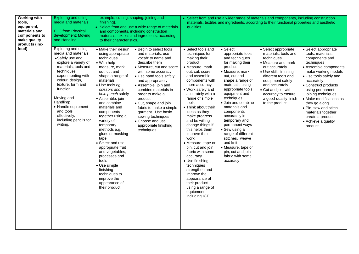| <b>Working with</b><br>tools.<br>equipment,<br>materials and<br>components to<br>make quality<br>products (inc- | <b>Exploring and using</b><br>media and materials<br><b>ELG</b> from Physical<br>development: Moving<br>and Handling.                                                                                                                                                                                                       | example, cutting, shaping, joining and<br>finishing].<br>• Select from and use a wide range of materials<br>and components, including construction<br>materials, textiles and ingredients, according<br>to their characteristics.                                                                                                                                                                                                                                                                                                                          |                                                                                                                                                                                                                                                                                                                                                                                                                                | • Select from and use a wider range of materials and components, including construction<br>materials, textiles and ingredients, according to their functional properties and aesthetic<br>qualities.                                                                                                                                                                                                                                                                                                                                                                                                         |                                                                                                                                                                                                                                                                                                                                                                                                                                                                                  |                                                                                                                                                                                                                                                                                  |                                                                                                                                                                                                                                                                                                                                                                                     |
|-----------------------------------------------------------------------------------------------------------------|-----------------------------------------------------------------------------------------------------------------------------------------------------------------------------------------------------------------------------------------------------------------------------------------------------------------------------|------------------------------------------------------------------------------------------------------------------------------------------------------------------------------------------------------------------------------------------------------------------------------------------------------------------------------------------------------------------------------------------------------------------------------------------------------------------------------------------------------------------------------------------------------------|--------------------------------------------------------------------------------------------------------------------------------------------------------------------------------------------------------------------------------------------------------------------------------------------------------------------------------------------------------------------------------------------------------------------------------|--------------------------------------------------------------------------------------------------------------------------------------------------------------------------------------------------------------------------------------------------------------------------------------------------------------------------------------------------------------------------------------------------------------------------------------------------------------------------------------------------------------------------------------------------------------------------------------------------------------|----------------------------------------------------------------------------------------------------------------------------------------------------------------------------------------------------------------------------------------------------------------------------------------------------------------------------------------------------------------------------------------------------------------------------------------------------------------------------------|----------------------------------------------------------------------------------------------------------------------------------------------------------------------------------------------------------------------------------------------------------------------------------|-------------------------------------------------------------------------------------------------------------------------------------------------------------------------------------------------------------------------------------------------------------------------------------------------------------------------------------------------------------------------------------|
| food)                                                                                                           | Exploring and using<br>media and materials:<br>•Safely use and<br>explore a variety of<br>materials, tools and<br>techniques,<br>experimenting with<br>colour, design,<br>texture, form and<br>function.<br>Moving and<br>Handling:<br>• Handle equipment<br>and tools<br>effectively,<br>including pencils for<br>writing. | • Make their design<br>using appropriate<br>techniques<br>• With help<br>measure, mark<br>out, cut and<br>shape a range of<br>materials<br>$\bullet$ Use tools eg<br>scissors and a<br>hole punch safely<br>• Assemble, join<br>and combine<br>materials and<br>components<br>together using a<br>variety of<br>temporary<br>methods e.g.<br>glues or masking<br>tape<br>• Select and use<br>appropriate fruit<br>and vegetables,<br>processes and<br>tools<br>• Use simple<br>finishing<br>techniques to<br>improve the<br>appearance of<br>their product | • Begin to select tools<br>and materials; use<br>vocab' to name and<br>describe them<br>• Measure, cut and score<br>with some accuracy<br>• Use hand tools safely<br>and appropriately<br>• Assemble, join and<br>combine materials in<br>order to make a<br>product<br>• Cut, shape and join<br>fabric to make a simple<br>garment. Use basic<br>sewing techniques<br>• Choose and use<br>appropriate finishing<br>techniques | • Select tools and<br>techniques for<br>making their<br>product<br>• Measure, mark<br>out, cut, score<br>and assemble<br>components with<br>more accuracy<br>• Work safely and<br>accurately with a<br>range of simple<br>tools<br>• Think about their<br>ideas as they<br>make progress<br>and be willing<br>change things if<br>this helps them<br>improve their<br>work<br>• Measure, tape or<br>pin, cut and join<br>fabric with some<br>accuracy<br>• Use finishing<br>techniques<br>strengthen and<br>improve the<br>appearance of<br>their product<br>using a range of<br>equipment<br>including ICT. | $\bullet$ Select<br>appropriate tools<br>and techniques<br>for making their<br>product<br>• Measure, mark<br>out, cut and<br>shape a range of<br>materials, using<br>appropriate tools,<br>equipment and<br>techniques<br>· Join and combine<br>materials and<br>components<br>accurately in<br>temporary and<br>permanent ways<br>• Sew using a<br>range of different<br>stitches, weave<br>and knit<br>• Measure, tape or<br>pin, cut and join<br>fabric with some<br>accuracy | • Select appropriate<br>materials, tools and<br>techniques<br>• Measure and mark<br>out accurately<br>• Use skills in using<br>different tools and<br>equipment safely<br>and accurately<br>• Cut and join with<br>accuracy to ensure<br>a good-quality finish<br>to the product | • Select appropriate<br>tools, materials,<br>components and<br>techniques<br>• Assemble components<br>make working models<br>• Use tools safely and<br>accurately<br>• Construct products<br>using permanent<br>joining techniques<br>• Make modifications as<br>they go along<br>• Pin, sew and stitch<br>materials together<br>create a product<br>• Achieve a quality<br>product |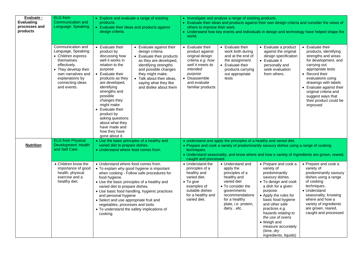| Evaluate -<br><b>Evaluating</b><br>processes and<br>products | <b>ELG</b> from<br>Communication and<br>Language: Speaking.                                                                                                                                                                  | • Explore and evaluate a range of existing<br>products.<br>• Evaluate their ideas and products against<br>design criteria.                                                                                                                                                                                                                                                                                                                                                                                                                                                                                                                                                    | • Investigate and analyse a range of existing products.<br>• Evaluate their ideas and products against their own design criteria and consider the views of<br>others to improve their work.<br>• Understand how key events and individuals in design and technology have helped shape the<br>world.                                                                                                                                                                                                                                                                                                                                                                                                                                                                                                                                                                                                                                                        |  |  |  |  |
|--------------------------------------------------------------|------------------------------------------------------------------------------------------------------------------------------------------------------------------------------------------------------------------------------|-------------------------------------------------------------------------------------------------------------------------------------------------------------------------------------------------------------------------------------------------------------------------------------------------------------------------------------------------------------------------------------------------------------------------------------------------------------------------------------------------------------------------------------------------------------------------------------------------------------------------------------------------------------------------------|------------------------------------------------------------------------------------------------------------------------------------------------------------------------------------------------------------------------------------------------------------------------------------------------------------------------------------------------------------------------------------------------------------------------------------------------------------------------------------------------------------------------------------------------------------------------------------------------------------------------------------------------------------------------------------------------------------------------------------------------------------------------------------------------------------------------------------------------------------------------------------------------------------------------------------------------------------|--|--|--|--|
|                                                              | Communication and<br>Language, Speaking:<br>• Children express<br>themselves<br>effectively.<br>• They develop their<br>own narratives and<br>explanations by<br>connecting ideas<br>and events.<br><b>ELG</b> from Physical | • Evaluate their<br>• Evaluate against their<br>product by<br>design criteria<br>discussing how<br>• Evaluate their products<br>well it works in<br>as they are developed,<br>relation to the<br>identifying strengths<br>purpose<br>and possible changes<br>they might make.<br>• Evaluate their<br>products as they<br>• Talk about their ideas,<br>are developed,<br>saying what they like<br>identifying<br>and dislike about them<br>strengths and<br>possible<br>changes they<br>might make<br>• Evaluate their<br>product by<br>asking questions<br>about what they<br>have made and<br>how they have<br>gone about it.<br>• Use the basic principles of a healthy and | • Evaluate their<br>• Evaluate their<br>• Evaluate their<br>• Evaluate a product<br>work both during<br>against the original<br>products, identifying<br>product against<br>design specification<br>strengths and areas<br>original design<br>and at the end of<br>for development, and<br>criteria e.g. how<br>the assignment.<br>• Evaluate it<br>well it meets its<br>carrying out<br>• Evaluate their<br>personally and<br>intended<br>appropriate tests<br>seek evaluation<br>products carrying<br>• Record their<br>purpose<br>out appropriate<br>from others.<br>• Disassemble<br>tests<br>evaluations using<br>and evaluate<br>drawings with labels<br>familiar products<br>• Evaluate against their<br>original criteria and<br>suggest ways that<br>their product could be<br>improved<br>• understand and apply the principles of a healthy and varied diet.                                                                                    |  |  |  |  |
| <b>Nutrition</b>                                             | Development: Health<br>and Self Care.                                                                                                                                                                                        | varied diet to prepare dishes.<br>• Understand where food comes from.                                                                                                                                                                                                                                                                                                                                                                                                                                                                                                                                                                                                         | • Prepare and cook a variety of predominantly savoury dishes using a range of cooking<br>techniques.<br>. Understand seasonality, and know where and how a variety of ingredients are grown, reared,<br>caught and processed.                                                                                                                                                                                                                                                                                                                                                                                                                                                                                                                                                                                                                                                                                                                              |  |  |  |  |
|                                                              | • Children know the<br>importance of good<br>health, physical<br>exercise and a<br>healthy diet.                                                                                                                             | • Understand where food comes from.<br>• To explain why good hygiene is important<br>when cooking - Follow safe procedures for<br>food hygiene.<br>• Use the basic principles of a healthy and<br>varied diet to prepare dishes.<br>• Use basic food handling, hygienic practices<br>and personal hygiene<br>• Select and use appropriate fruit and<br>vegetables, processes and tools.<br>• To understand the safety implications of<br>cooking.                                                                                                                                                                                                                             | • Understand the<br>• Understand and<br>• Prepare and cook a<br>• Prepare and cook a<br>principles of a<br>variety of<br>variety of<br>apply the<br>healthy and<br>principles of a<br>predominantly<br>predominantly savoury<br>varied diet.<br>healthy and<br>savoury dishes.<br>dishes using a range<br>varied diet<br>of cooking<br>• To give<br>• To design and cook<br>techniques<br>examples of<br>• To consider the<br>a dish for a given<br>suitable dishes<br>• Understand<br>governments<br>purpose.<br>for a healthy and<br>recommendations<br>• Apply the rules for<br>seasonality, knowing<br>varied diet.<br>where and how a<br>for a healthy<br>basic food hygiene<br>and other safe<br>variety of ingredients<br>plate, i.e. protein,<br>dairyetc.<br>are grown, reared,<br>practices e.g.<br>caught and processed.<br>hazards relating to<br>the use of ovens<br>• Weigh and<br>measure accurately<br>(time, dry<br>ingredients, liquids) |  |  |  |  |